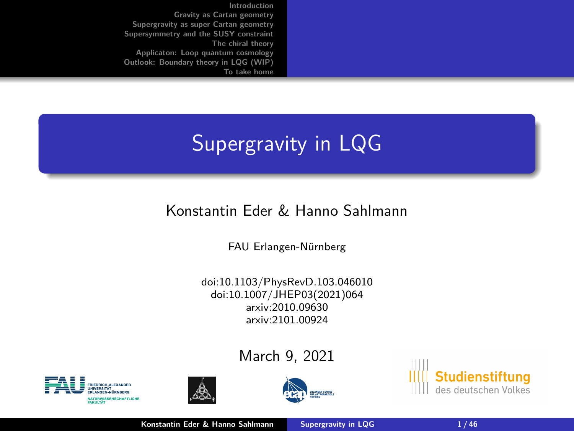<span id="page-0-0"></span>**[Introduction](#page-1-0) [Gravity as Cartan geometry](#page-9-0) [Supergravity as super Cartan geometry](#page-14-0) [Supersymmetry and the SUSY constraint](#page-19-0) [The chiral theory](#page-24-0) [Applicaton: Loop quantum cosmology](#page-33-0) [Outlook: Boundary theory in LQG \(WIP\)](#page-40-0) [To take home](#page-42-0)**

# Supergravity in LQG

### Konstantin Eder & Hanno Sahlmann

FAU Erlangen-Nürnberg

doi:10.1103/PhysRevD.103.046010 doi:10.1007/JHEP03(2021)064 arxiv:2010.09630 arxiv:2101.00924

March 9, 2021









**Konstantin Eder & Hanno Sahlmann [Supergravity in LQG](#page-45-0) 1/46**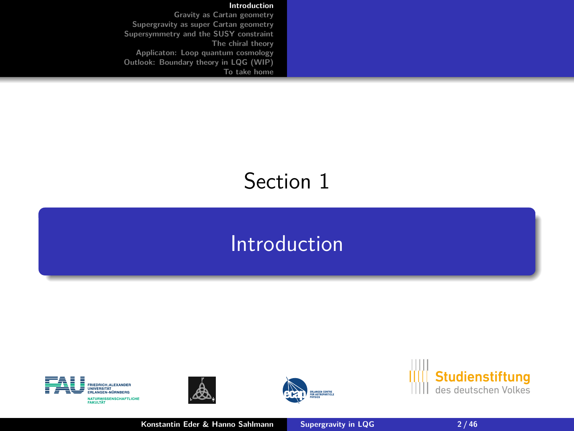#### **[Introduction](#page-1-0)**

<span id="page-1-0"></span>**[Gravity as Cartan geometry](#page-9-0) [Supergravity as super Cartan geometry](#page-14-0) [Supersymmetry and the SUSY constraint](#page-19-0) [The chiral theory](#page-24-0) [Applicaton: Loop quantum cosmology](#page-33-0) [Outlook: Boundary theory in LQG \(WIP\)](#page-40-0) [To take home](#page-42-0)**

### Section 1

### [Introduction](#page-1-0)









**Konstantin Eder & Hanno Sahlmann [Supergravity in LQG](#page-0-0)** 2/46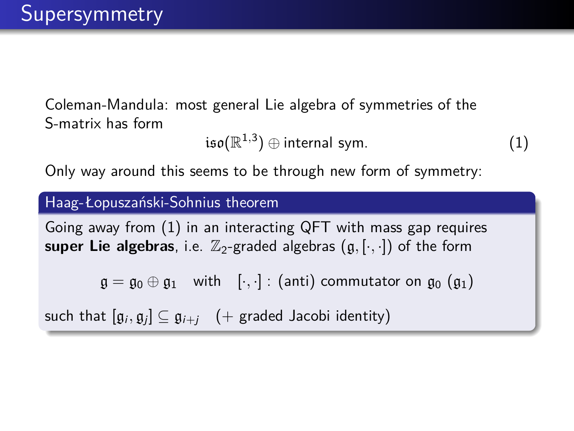Coleman-Mandula: most general Lie algebra of symmetries of the S-matrix has form

<span id="page-2-0"></span>
$$
\mathfrak{iso}(\mathbb{R}^{1,3})\oplus \mathsf{internal}~\mathsf{sym}.\hspace{2cm} (1)
$$

Only way around this seems to be through new form of symmetry:

#### Haag-Łopuszański-Sohnius theorem

Going away from [\(1\)](#page-2-0) in an interacting QFT with mass gap requires **super Lie algebras**, i.e.  $\mathbb{Z}_2$ -graded algebras  $(g, [\cdot, \cdot])$  of the form

 $\mathfrak{g} = \mathfrak{g}_0 \oplus \mathfrak{g}_1$  with  $[\cdot, \cdot]$ : (anti) commutator on  $\mathfrak{g}_0$  ( $\mathfrak{g}_1$ )

such that  $[\mathfrak{g}_i, \mathfrak{g}_j] \subseteq \mathfrak{g}_{i+j} \quad (+$  graded Jacobi identity)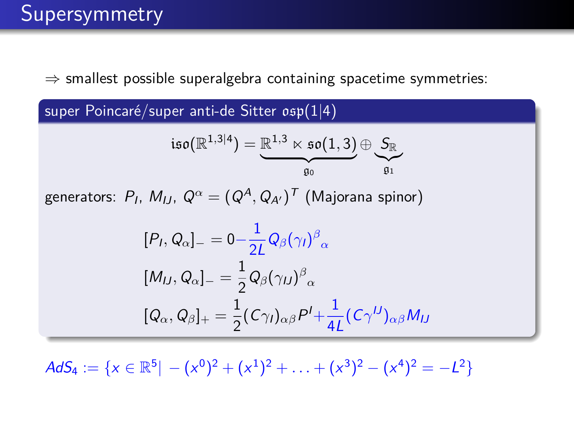$\Rightarrow$  smallest possible superalgebra containing spacetime symmetries:

super Poincaré/super anti-de Sitter osp(1|4)

$$
\mathfrak{iso}(\mathbb{R}^{1,3|4})=\underbrace{\mathbb{R}^{1,3}\ltimes\mathfrak{so}(1,3)}_{\mathfrak{g}_0}\oplus \underbrace{\mathcal{S}_\mathbb{R}}_{\mathfrak{g}_1}
$$

generators:  $P_I$ ,  $M_{IJ}$ ,  $Q^{\alpha} = (Q^A, Q_{A'})^{\mathcal{T}}$  (Majorana spinor)

$$
[PI, Qα] = 0 - \frac{1}{2L} Q\beta(\gammaI)\beta\alpha
$$
  
\n
$$
[MIJ, Qα] = \frac{1}{2} Q\beta(\gammaU)\beta\alpha
$$
  
\n
$$
[Qα, Q\beta]_{+} = \frac{1}{2} (C\gammaI)\alpha\beta PI + \frac{1}{4L} (C\gammaU)\alpha\beta MIJ
$$

 $AdS_4 := \{x \in \mathbb{R}^5 \mid -(x^0)^2 + (x^1)^2 + \ldots + (x^3)^2 - (x^4)^2 = -L^2\}$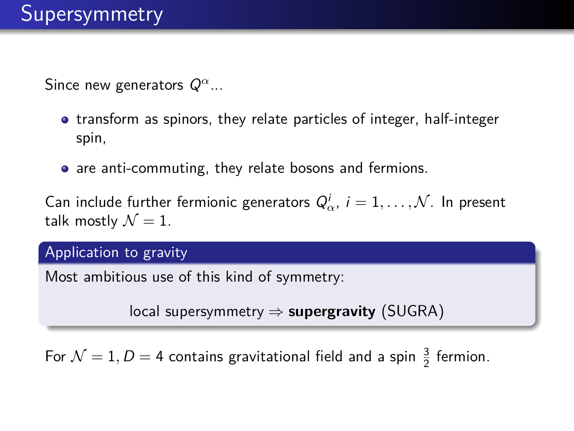Since new generators Q*<sup>α</sup>*...

- **•** transform as spinors, they relate particles of integer, half-integer spin,
- are anti-commuting, they relate bosons and fermions.

Can include further fermionic generators  $Q^i_\alpha$ ,  $i = 1, \ldots, \mathcal{N}$ . In present talk mostly  $\mathcal{N}=1$ .

#### Application to gravity

Most ambitious use of this kind of symmetry:

local supersymmetry ⇒ **supergravity** (SUGRA)

For  $\mathcal{N}=1, D=4$  contains gravitational field and a spin  $\frac{3}{2}$  fermion.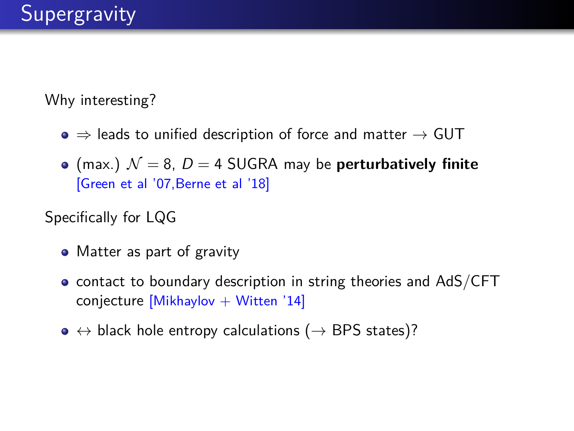Why interesting?

- $\bullet \Rightarrow$  leads to unified description of force and matter  $\rightarrow$  GUT
- (max.)  $\mathcal{N} = 8$ ,  $D = 4$  SUGRA may be **perturbatively finite** [Green et al '07,Berne et al '18]

Specifically for LQG

- Matter as part of gravity
- contact to boundary description in string theories and AdS/CFT conjecture  $[Mikhaylov + Witten '14]$
- $\bullet \leftrightarrow$  black hole entropy calculations ( $\rightarrow$  BPS states)?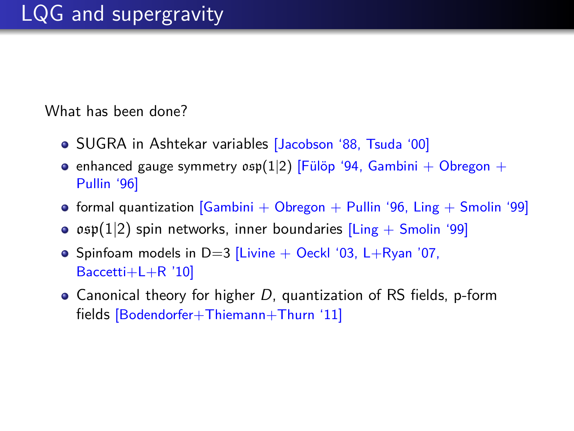What has been done?

- SUGRA in Ashtekar variables [Jacobson '88, Tsuda '00]
- enhanced gauge symmetry  $osp(1|2)$  [Fülöp '94, Gambini + Obregon + Pullin '96]
- formal quantization  $[Gambini + Obreson + Pullin '96$ , Ling  $+$  Smolin '99]
- $\bullet$   $osp(1|2)$  spin networks, inner boundaries [Ling + Smolin '99]
- Spinfoam models in  $D=3$  [Livine + Oeckl '03, L+Ryan '07, Baccetti+L+R '10]
- Canonical theory for higher  $D$ , quantization of RS fields, p-form fields [Bodendorfer+Thiemann+Thurn '11]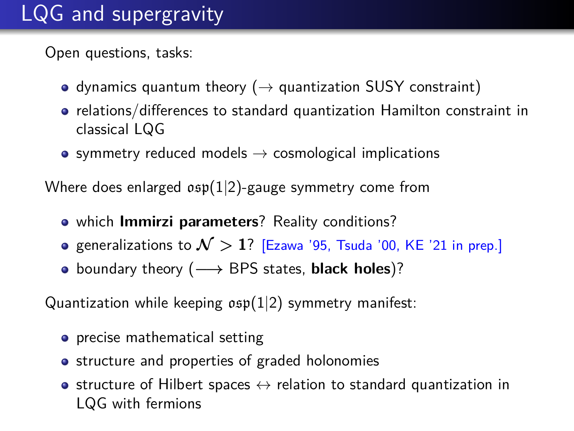# LQG and supergravity

Open questions, tasks:

- dynamics quantum theory ( $\rightarrow$  quantization SUSY constraint)
- relations/differences to standard quantization Hamilton constraint in classical LQG
- symmetry reduced models  $\rightarrow$  cosmological implications

Where does enlarged  $osp(1|2)$ -gauge symmetry come from

- which **Immirzi parameters**? Reality conditions?
- **•** generalizations to  $\mathcal{N} > 1$ ? [Ezawa '95, Tsuda '00, KE '21 in prep.]
- boundary theory (**−→** BPS states, **black holes**)?

Quantization while keeping  $osp(1|2)$  symmetry manifest:

- **•** precise mathematical setting
- structure and properties of graded holonomies
- structure of Hilbert spaces  $\leftrightarrow$  relation to standard quantization in LQG with fermions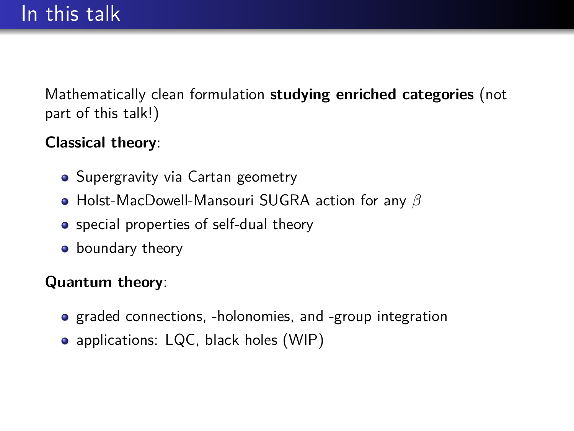Mathematically clean formulation **studying enriched categories** (not part of this talk!)

### **Classical theory**:

- Supergravity via Cartan geometry
- Holst-MacDowell-Mansouri SUGRA action for any *β*
- **•** special properties of self-dual theory
- **•** boundary theory

### **Quantum theory**:

- graded connections, -holonomies, and -group integration
- applications: LQC, black holes (WIP)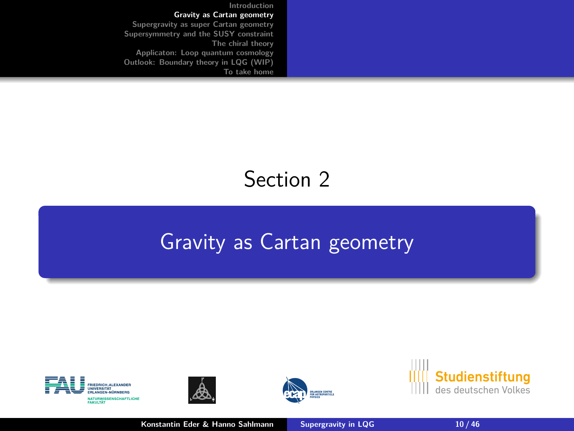<span id="page-9-0"></span>**[Introduction](#page-1-0) [Gravity as Cartan geometry](#page-9-0) [Supergravity as super Cartan geometry](#page-14-0) [Supersymmetry and the SUSY constraint](#page-19-0) [The chiral theory](#page-24-0) [Applicaton: Loop quantum cosmology](#page-33-0) [Outlook: Boundary theory in LQG \(WIP\)](#page-40-0) [To take home](#page-42-0)**

# Section 2

# [Gravity as Cartan geometry](#page-9-0)









**Konstantin Eder & Hanno Sahlmann [Supergravity in LQG](#page-0-0) 10 / 46**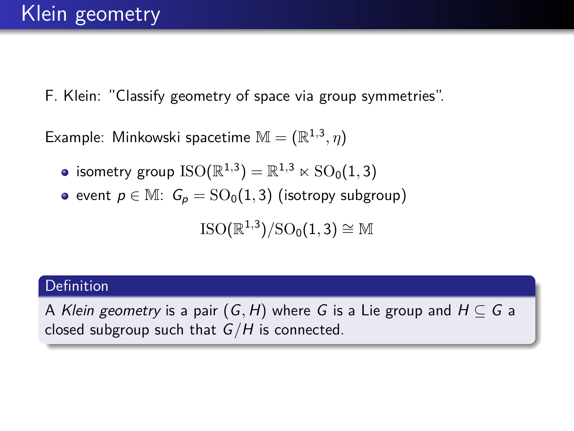F. Klein: "Classify geometry of space via group symmetries".

Example: Minkowski spacetime  $\mathbb{M} = (\mathbb{R}^{1,3}, \eta)$ 

- isometry group  $\mathrm{ISO}(\mathbb{R}^{1,3})=\mathbb{R}^{1,3}\ltimes \mathrm{SO}_0(1,3)$
- event  $p \in M$ :  $G_p = SO_0(1, 3)$  (isotropy subgroup)

 $\mathrm{ISO}(\mathbb{R}^{1,3})/\mathrm{SO}_0(1,3) \cong \mathbb{M}$ 

#### Definition

A Klein geometry is a pair  $(G, H)$  where G is a Lie group and  $H \subseteq G$  a closed subgroup such that G*/*H is connected.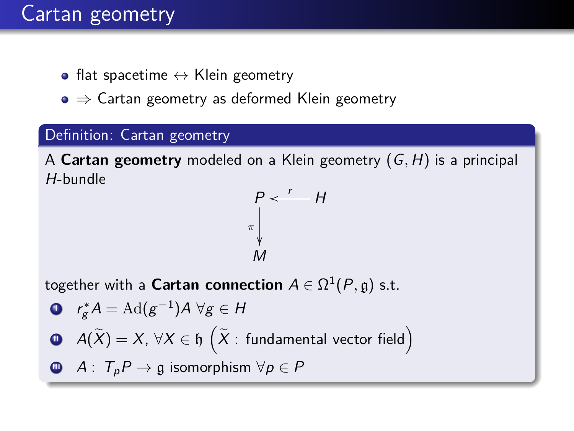### Cartan geometry

- flat spacetime  $\leftrightarrow$  Klein geometry
- $\bullet \Rightarrow$  Cartan geometry as deformed Klein geometry

#### Definition: Cartan geometry

A **Cartan geometry** modeled on a Klein geometry (G*,* H) is a principal H-bundle

$$
\begin{array}{c}\nP < \quad H \\
\pi \downarrow \\
M\n\end{array}
$$

together with a  $\mathsf{Cartan}$  connection  $A \in \Omega^1(P, \mathfrak{g})$  s.t.

\n- **0** 
$$
r_g^*A = \text{Ad}(g^{-1})A \,\forall g \in H
$$
\n- **0**  $A(\tilde{X}) = X, \,\forall X \in \mathfrak{h} \left( \tilde{X} : \text{fundamental vector field} \right)$
\n- **0**  $A: T_p P \to \mathfrak{g} \text{ isomorphism } \forall p \in P$
\n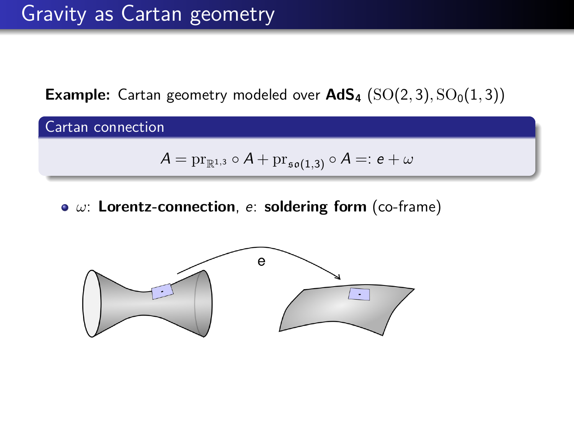**Example:** Cartan geometry modeled over  $AdS_4$  (SO(2,3), SO<sub>0</sub>(1,3))

Cartan connection

$$
\mathcal{A}=\mathrm{pr}_{\mathbb{R}^{1,3}}\circ\mathcal{A}+\mathrm{pr}_{\mathfrak{so}(1,3)}\circ\mathcal{A}=:\textit{e}+\omega
$$

*ω*: **Lorentz-connection**, e: **soldering form** (co-frame)

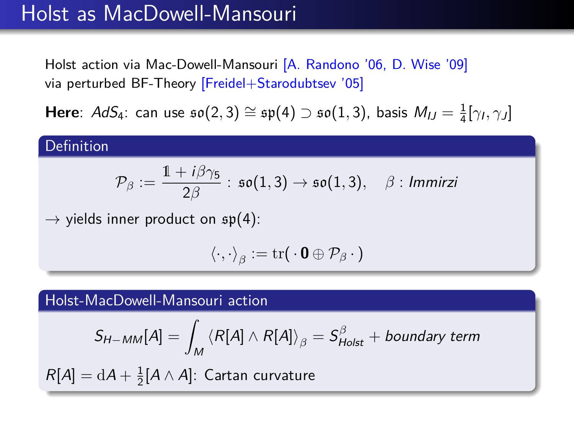### Holst as MacDowell-Mansouri

Holst action via Mac-Dowell-Mansouri [A. Randono '06, D. Wise '09] via perturbed BF-Theory [Freidel+Starodubtsev '05]

**Here**:  $AdS_4$ : can use  $\mathfrak{so}(2,3) \cong \mathfrak{sp}(4) \supset \mathfrak{so}(1,3)$ , basis  $M_{IJ} = \frac{1}{4} [\gamma_I, \gamma_J]$ 

#### Definition

$$
\mathcal{P}_{\beta}:=\frac{1+i\beta\gamma_5}{2\beta}:\,\mathfrak{so}(1,3)\rightarrow\mathfrak{so}(1,3),\quad\beta:\,\textit{Immirzi}
$$

 $\rightarrow$  yields inner product on  $\mathfrak{sp}(4)$ :

$$
\langle \cdot, \cdot \rangle_{\beta} := \mathrm{tr}(\cdot \mathbf{0} \oplus \mathcal{P}_{\beta} \cdot)
$$

Holst-MacDowell-Mansouri action

$$
S_{H-MM}[A] = \int_M \left\langle R[A] \wedge R[A] \right\rangle_{\beta} = S_{Holst}^{\beta} + \text{boundary term}
$$

 $R[A]=\mathrm{d}A+\frac{1}{2}[A\wedge A]$ : Cartan curvature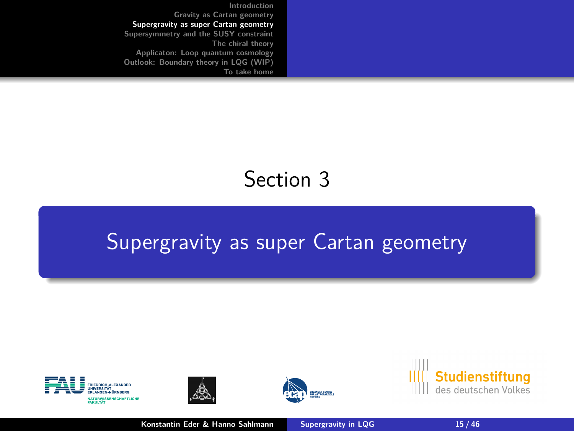<span id="page-14-0"></span>**[Introduction](#page-1-0) [Gravity as Cartan geometry](#page-9-0) [Supergravity as super Cartan geometry](#page-14-0) [Supersymmetry and the SUSY constraint](#page-19-0) [The chiral theory](#page-24-0) [Applicaton: Loop quantum cosmology](#page-33-0) [Outlook: Boundary theory in LQG \(WIP\)](#page-40-0) [To take home](#page-42-0)**

# Section 3

### [Supergravity as super Cartan geometry](#page-14-0)









**Konstantin Eder & Hanno Sahlmann [Supergravity in LQG](#page-0-0)** 15 / 46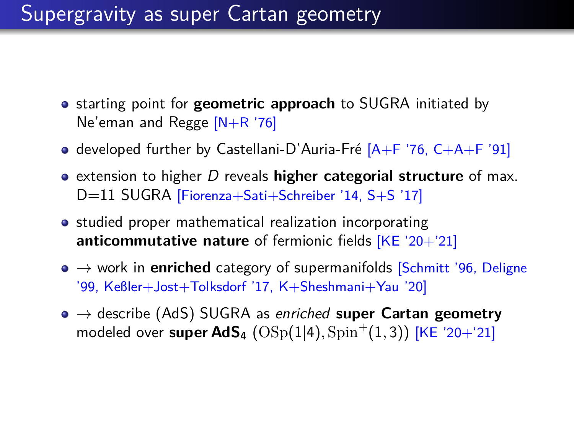### Supergravity as super Cartan geometry

- **•** starting point for **geometric approach** to SUGRA initiated by Ne'eman and Regge [N+R '76]
- developed further by Castellani-D'Auria-Fré  $[A + F'76, C+A+F'91]$
- extension to higher D reveals **higher categorial structure** of max. D=11 SUGRA [Fiorenza+Sati+Schreiber '14, S+S '17]
- studied proper mathematical realization incorporating **anticommutative nature** of fermionic fields [KE '20+'21]
- $\bullet \rightarrow$  work in **enriched** category of supermanifolds [Schmitt '96, Deligne '99, Keßler+Jost+Tolksdorf '17, K+Sheshmani+Yau '20]
- → describe (AdS) SUGRA as enriched **super Cartan geometry** modeled over super AdS<sub>4</sub> ( $\mathrm{OSp}(1|4), \mathrm{Spin}^+(1,3)$ ) [KE '20+'21]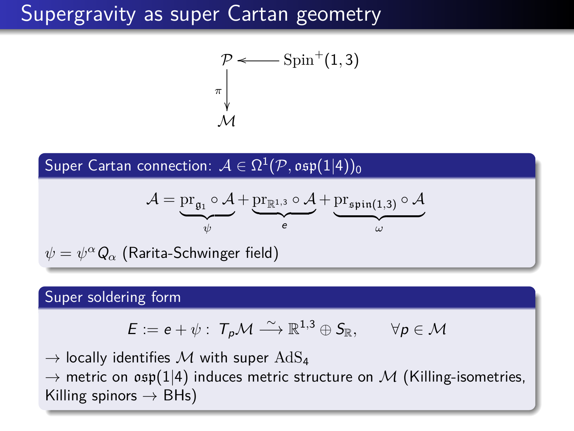### Supergravity as super Cartan geometry

$$
\mathcal{P} \longleftarrow \text{Spin}^+(1,3)
$$
\n
$$
\pi \downarrow
$$
\n
$$
\mathcal{M}
$$

 ${\sf Super~Cartan~connection:}~~ {\cal A} \in \Omega^1({\cal P},\mathfrak{osp}(1|4))_0$ 

$$
\mathcal{A} = \underbrace{\operatorname{pr}_{\mathfrak{g}_1} \circ \mathcal{A}}_{\psi} + \underbrace{\operatorname{pr}_{\mathbb{R}^{1,3}} \circ \mathcal{A}}_{e} + \underbrace{\operatorname{pr}_{\mathfrak{spin}(1,3)} \circ \mathcal{A}}_{\omega}
$$

 $\psi = \psi^\alpha \mathsf{Q}_\alpha$  (Rarita-Schwinger field)

#### Super soldering form

$$
E:=e+\psi: T_p\mathcal{M} \stackrel{\sim}{\longrightarrow} \mathbb{R}^{1,3}\oplus S_{\mathbb{R}}, \qquad \forall p\in \mathcal{M}
$$

 $\rightarrow$  locally identifies M with super  $\text{AdS}_4$  $\rightarrow$  metric on  $osp(1|4)$  induces metric structure on M (Killing-isometries, Killing spinors  $\rightarrow$  BHs)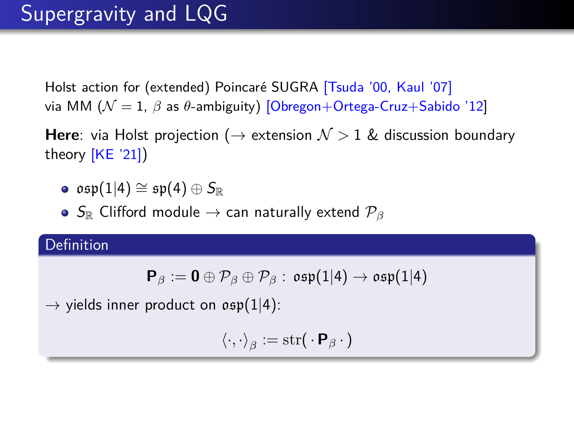# Supergravity and LQG

Holst action for (extended) Poincaré SUGRA [Tsuda '00, Kaul '07] via MM (N = 1, *β* as *θ*-ambiguity) [Obregon+Ortega-Cruz+Sabido '12]

**Here**: via Holst projection ( $\rightarrow$  extension  $\mathcal{N} > 1$  & discussion boundary theory [KE '21])

- $\bullet$  osp(1|4)  $\cong$  sp(4)  $\oplus$   $S_{\mathbb{R}}$
- **•** S<sub>R</sub> Clifford module → can naturally extend  $\mathcal{P}_\beta$

#### **Definition**

$$
\mathsf{P}_\beta := \mathbf{0} \oplus \mathcal{P}_\beta \oplus \mathcal{P}_\beta : \; \mathfrak{osp}(1|4) \to \mathfrak{osp}(1|4)
$$

 $\rightarrow$  yields inner product on  $\mathfrak{osp}(1|4)$ :

 $\langle \cdot,\cdot \rangle_{\beta} := \text{str}(\cdot \mathbf{P}_{\beta} \cdot)$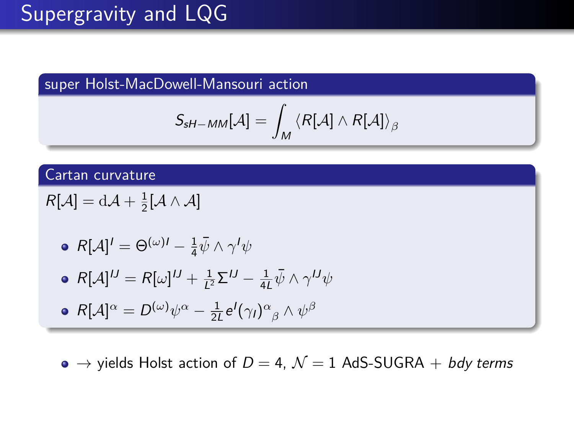# Supergravity and LQG

super Holst-MacDowell-Mansouri action

$$
\mathcal{S}_{\mathsf{sH-MM}}[\mathcal{A}]=\int_{\mathcal{M}}\left\langle R[\mathcal{A}]\wedge R[\mathcal{A}]\right\rangle _{\beta}
$$

#### Cartan curvature

$$
R[\mathcal{A}] = d\mathcal{A} + \frac{1}{2}[\mathcal{A} \wedge \mathcal{A}]
$$

• 
$$
R[\mathcal{A}]^I = \Theta^{(\omega)I} - \frac{1}{4}\bar{\psi} \wedge \gamma^I \psi
$$

• 
$$
R[\mathcal{A}]^{IJ} = R[\omega]^J + \frac{1}{L^2} \Sigma^{IJ} - \frac{1}{4L} \bar{\psi} \wedge \gamma^{IJ} \psi
$$

• 
$$
R[\mathcal{A}]^{\alpha} = D^{(\omega)} \psi^{\alpha} - \frac{1}{2L} e^{I}(\gamma_{I})^{\alpha}{}_{\beta} \wedge \psi^{\beta}
$$

 $\bullet \rightarrow$  yields Holst action of  $D = 4$ ,  $\mathcal{N} = 1$  AdS-SUGRA + bdy terms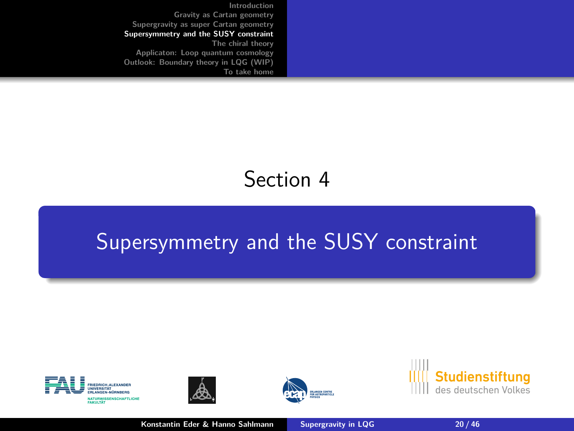<span id="page-19-0"></span>**[Introduction](#page-1-0) [Gravity as Cartan geometry](#page-9-0) [Supergravity as super Cartan geometry](#page-14-0) [Supersymmetry and the SUSY constraint](#page-19-0) [The chiral theory](#page-24-0) [Applicaton: Loop quantum cosmology](#page-33-0) [Outlook: Boundary theory in LQG \(WIP\)](#page-40-0) [To take home](#page-42-0)**

# Section 4

# [Supersymmetry and the SUSY constraint](#page-19-0)









**Konstantin Eder & Hanno Sahlmann [Supergravity in LQG](#page-0-0) 20 / 46**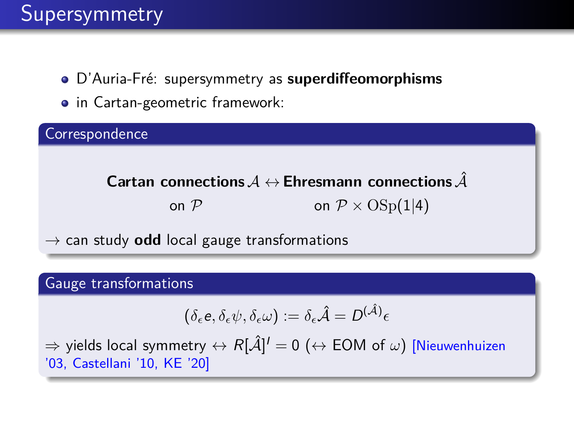# Supersymmetry

- D'Auria-Fré: supersymmetry as **superdiffeomorphisms**
- in Cartan-geometric framework:



 $\rightarrow$  can study **odd** local gauge transformations

#### Gauge transformations

$$
(\delta_{\epsilon}e, \delta_{\epsilon}\psi, \delta_{\epsilon}\omega) := \delta_{\epsilon}\hat{\mathcal{A}} = D^{(\hat{\mathcal{A}})}\epsilon
$$

 $\Rightarrow$  yields local symmetry  $\leftrightarrow$   $R[\hat{\cal A}]^I=0$   $(\leftrightarrow$  EOM of  $\omega)$  [Nieuwenhuizen '03, Castellani '10, KE '20]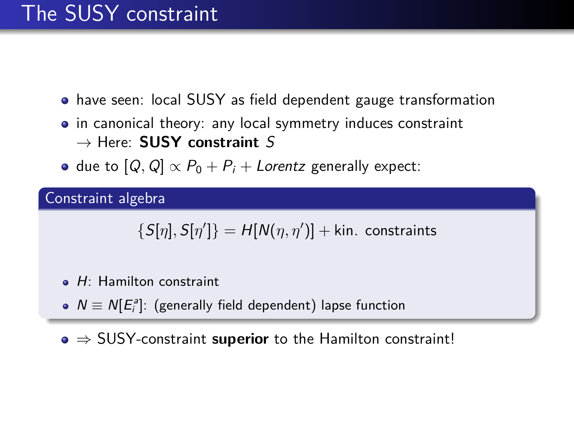# The SUSY constraint

- have seen: local SUSY as field dependent gauge transformation
- in canonical theory: any local symmetry induces constraint → Here: **SUSY constraint** S
- due to  $[Q, Q] \propto P_0 + P_i +$  Lorentz generally expect:

Constraint algebra

 $\{S[\eta],S[\eta']\} = H[N(\eta,\eta')] +$  kin. constraints

- $\bullet$  H: Hamilton constraint
- $N \equiv N[E_i^a]$ : (generally field dependent) lapse function
- ⇒ SUSY-constraint **superior** to the Hamilton constraint!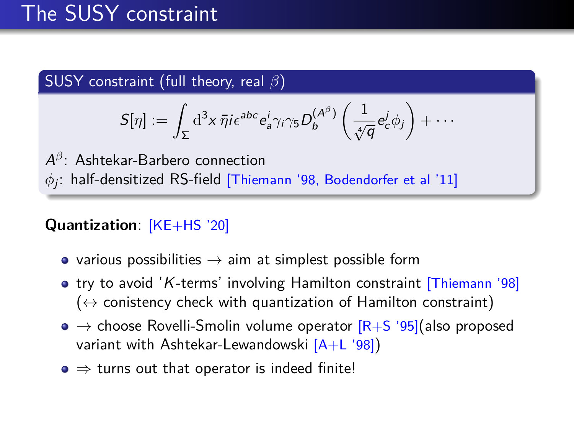# The SUSY constraint

#### SUSY constraint (full theory, real *β*)

$$
S[\eta] := \int_{\Sigma} \mathrm{d}^3 x \, \bar{\eta} i \epsilon^{abc} e^i_a \gamma_i \gamma_5 D^{(A^\beta)}_b \left( \frac{1}{\sqrt[4]{q}} e^j_c \phi_j \right) + \cdots
$$

A *β* : Ashtekar-Barbero connection  $\phi_j$ : half-densitized RS-field [Thiemann '98, Bodendorfer et al '11]

#### **Quantization**: [KE+HS '20]

- various possibilities  $\rightarrow$  aim at simplest possible form
- try to avoid 'K-terms' involving Hamilton constraint [Thiemann '98]  $(\leftrightarrow$  conistency check with quantization of Hamilton constraint)
- $\bullet \rightarrow$  choose Rovelli-Smolin volume operator  $\text{[R+S]}$  '95](also proposed variant with Ashtekar-Lewandowski [A+L '98])
- $\bullet \Rightarrow$  turns out that operator is indeed finite!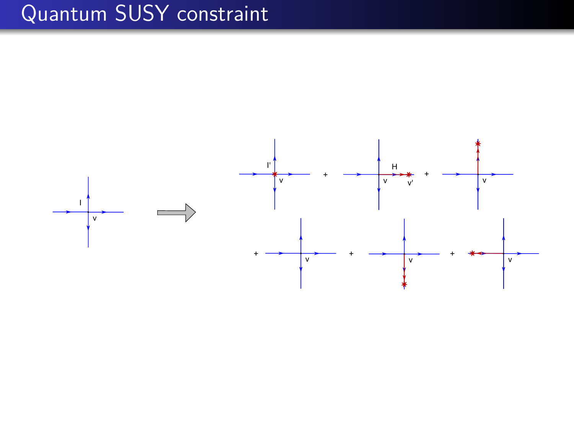# Quantum SUSY constraint

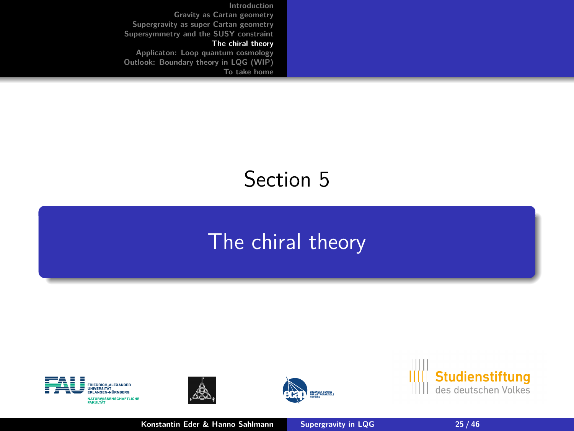<span id="page-24-0"></span>**[Introduction](#page-1-0) [Gravity as Cartan geometry](#page-9-0) [Supergravity as super Cartan geometry](#page-14-0) [Supersymmetry and the SUSY constraint](#page-19-0) [The chiral theory](#page-24-0) [Applicaton: Loop quantum cosmology](#page-33-0) [Outlook: Boundary theory in LQG \(WIP\)](#page-40-0)**

**[To take home](#page-42-0)**

# Section 5

### [The chiral theory](#page-24-0)









**Konstantin Eder & Hanno Sahlmann [Supergravity in LQG](#page-0-0) 25 / 46**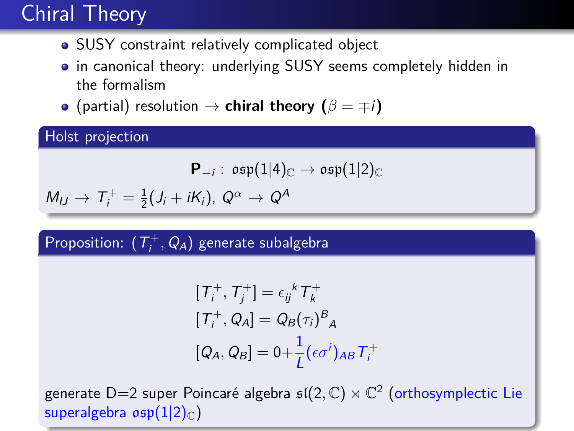# Chiral Theory

- SUSY constraint relatively complicated object
- in canonical theory: underlying SUSY seems completely hidden in the formalism
- (partial) resolution  $\rightarrow$  **chiral theory (** $\beta = \mp i$ )

Holst projection

$$
\mathbf{P}_{-i}:\;\mathfrak{osp}(1|4)_{\mathbb{C}}\rightarrow\mathfrak{osp}(1|2)_{\mathbb{C}}
$$

$$
M_{IJ} \rightarrow T_i^+ = \frac{1}{2}(J_i + iK_i), \ Q^{\alpha} \rightarrow Q^{\beta}
$$

### $\mathsf{Proposition:} \; \; (\mathcal{T}^+_i, \mathcal{Q}_A)$  generate subalgebra

$$
[T_i^+, T_j^+] = \epsilon_{ij}{}^k T_k^+
$$
  
\n
$$
[T_i^+, Q_A] = Q_B(\tau_i)^B_A
$$
  
\n
$$
[Q_A, Q_B] = 0 + \frac{1}{L} (\epsilon \sigma^i)_{AB} T_i^+
$$

generate D=2 super Poincaré algebra  $\mathfrak{sl}(2,\mathbb{C})\rtimes\mathbb{C}^2$  (orthosymplectic Lie superalgebra  $osp(1|2)_\mathbb{C}$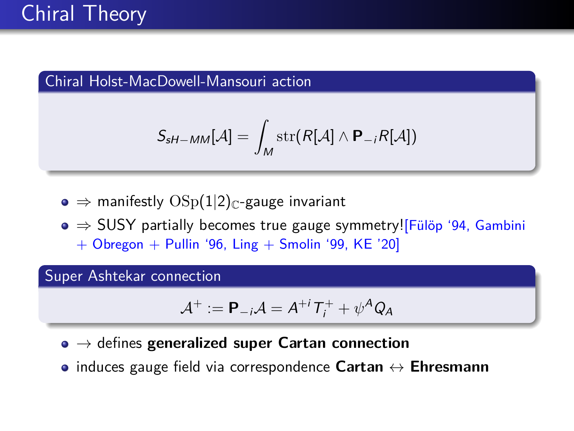#### Chiral Holst-MacDowell-Mansouri action

$$
S_{sH-MM}[A] = \int_M \text{str}(R[A] \wedge \mathbf{P}_{-i}R[A])
$$

 $\bullet \Rightarrow$  manifestly  $OSp(1|2)_\mathbb{C}$ -gauge invariant

 $\bullet \Rightarrow$  SUSY partially becomes true gauge symmetry!<sup>[Fülöp '94, Gambini</sup>  $+$  Obregon  $+$  Pullin '96, Ling  $+$  Smolin '99, KE '20]

Super Ashtekar connection

$$
\mathcal{A}^+ := \mathbf{P}_{-i}\mathcal{A} = A^{+i}T_i^+ + \psi^A Q_A
$$

- → defines **generalized super Cartan connection**
- induces gauge field via correspondence **Cartan** ↔ **Ehresmann**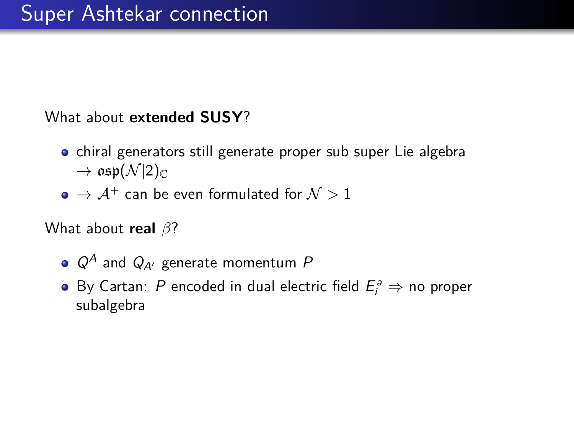#### What about **extended SUSY**?

- chiral generators still generate proper sub super Lie algebra  $\rightarrow$  osp $(\mathcal{N}|2)_{\mathbb{C}}$
- $\bullet \rightarrow \mathcal{A}^+$  can be even formulated for  $\mathcal{N} > 1$

What about **real** *β*?

- $Q^A$  and  $Q_{A}$  generate momentum P
- By Cartan: P encoded in dual electric field  $E_i^a \Rightarrow$  no proper subalgebra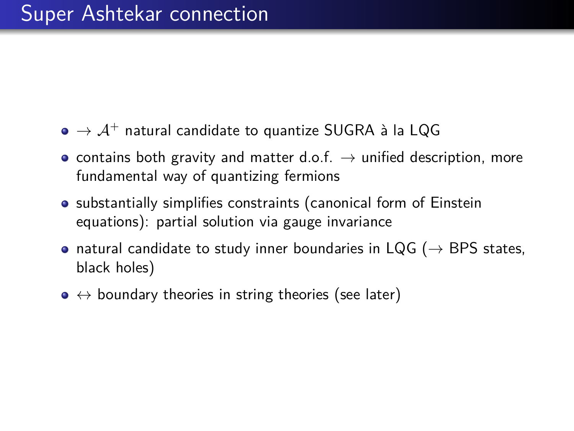- $\bullet \rightarrow \mathcal{A}^+$  natural candidate to quantize SUGRA à la LQG
- contains both gravity and matter d.o.f.  $\rightarrow$  unified description, more fundamental way of quantizing fermions
- substantially simplifies constraints (canonical form of Einstein equations): partial solution via gauge invariance
- natural candidate to study inner boundaries in LQG ( $\rightarrow$  BPS states, black holes)
- $\bullet \leftrightarrow$  boundary theories in string theories (see later)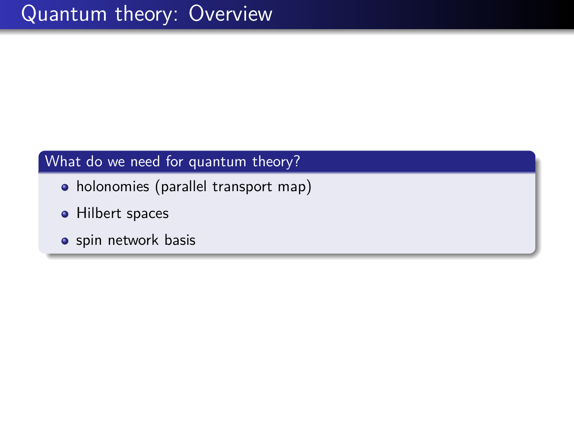#### What do we need for quantum theory?

- holonomies (parallel transport map)
- **•** Hilbert spaces
- **·** spin network basis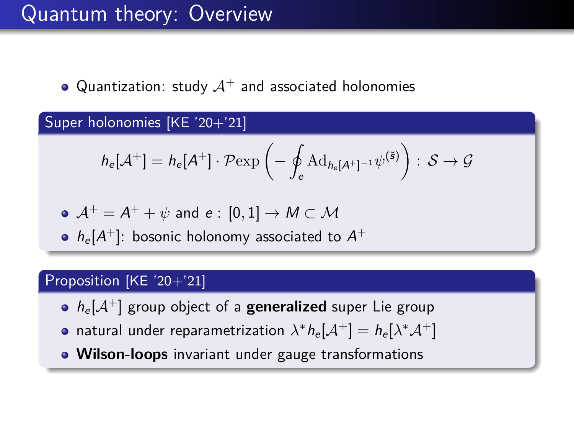### Quantum theory: Overview

• Quantization: study  $A^+$  and associated holonomies

Super holonomies [KE '20+'21]

$$
h_{e}[\mathcal{A}^{+}] = h_{e}[A^{+}] \cdot \mathcal{P} \exp \left(-\oint_{e} \mathrm{Ad}_{h_{e}[A^{+}]^{-1}} \psi^{(\tilde{s})}\right) : \mathcal{S} \to \mathcal{G}
$$

$$
\mathsf{A}^+ = \mathsf{A}^+ + \psi \text{ and } \mathsf{e}: [0,1] \to \mathsf{M} \subset \mathsf{M}
$$

 $h_{\rm e}[A^+]$ : bosonic holonomy associated to  $A^+$ 

#### Proposition [KE '20+'21]

- $h_e[A^+]$  group object of a **generalized** super Lie group
- natural under reparametrization  $\lambda^* h_{\rm e}[\mathcal{A}^+] = h_{\rm e}[\lambda^*\mathcal{A}^+]$
- **Wilson-loops** invariant under gauge transformations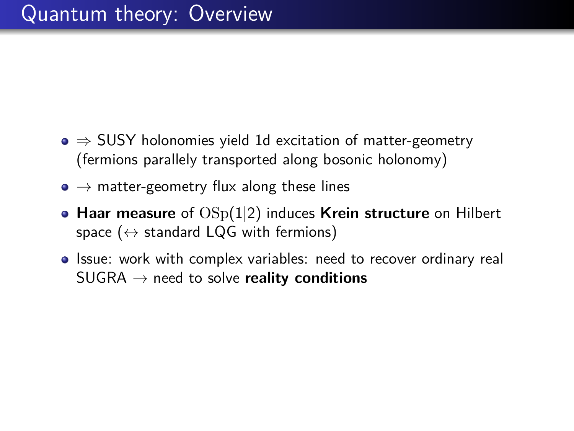- $\bullet \Rightarrow$  SUSY holonomies yield 1d excitation of matter-geometry (fermions parallely transported along bosonic holonomy)
- $\bullet \rightarrow$  matter-geometry flux along these lines
- **Haar measure** of OSp(1|2) induces **Krein structure** on Hilbert space ( $\leftrightarrow$  standard LQG with fermions)
- Issue: work with complex variables: need to recover ordinary real SUGRA → need to solve **reality conditions**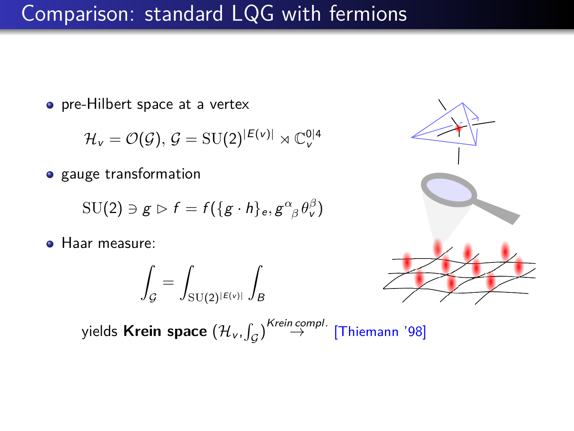### Comparison: standard LQG with fermions

• pre-Hilbert space at a vertex

$$
\mathcal{H}_{v} = \mathcal{O}(\mathcal{G}), \, \mathcal{G} = \mathrm{SU}(2)^{|\mathcal{E}(v)|} \rtimes \mathbb{C}_{v}^{\mathrm{0}|4}
$$

• gauge transformation

$$
\mathrm{SU}(2)\ni g\vartriangleright f=f(\{g\cdot h\}_e,g^\alpha_{\ \beta}\theta_\nu^\beta)
$$

**• Haar measure:** 

$$
\int_{\mathcal{G}} = \int_{\mathrm{SU}(2)^{|E(v)|}} \int_{B}
$$



yields **Krein space**  $(\mathcal{H}_{v}, \int_{\mathcal{G}})^{Krein}$  ⇔ [Thiemann '98]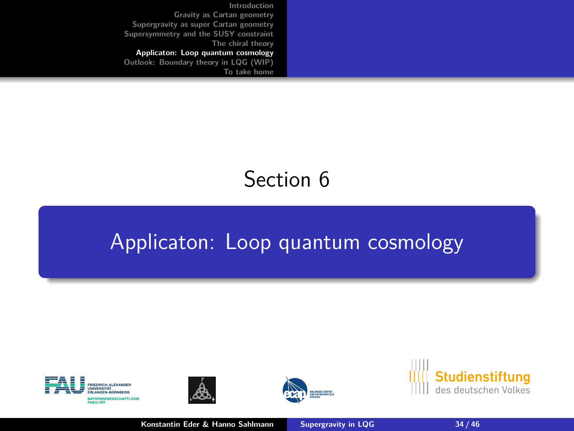<span id="page-33-0"></span>**[Introduction](#page-1-0) [Gravity as Cartan geometry](#page-9-0) [Supergravity as super Cartan geometry](#page-14-0) [Supersymmetry and the SUSY constraint](#page-19-0) [The chiral theory](#page-24-0) [Applicaton: Loop quantum cosmology](#page-33-0) [Outlook: Boundary theory in LQG \(WIP\)](#page-40-0) [To take home](#page-42-0)**

# Section 6

### [Applicaton: Loop quantum cosmology](#page-33-0)









**Konstantin Eder & Hanno Sahlmann [Supergravity in LQG](#page-0-0) 34 / 46**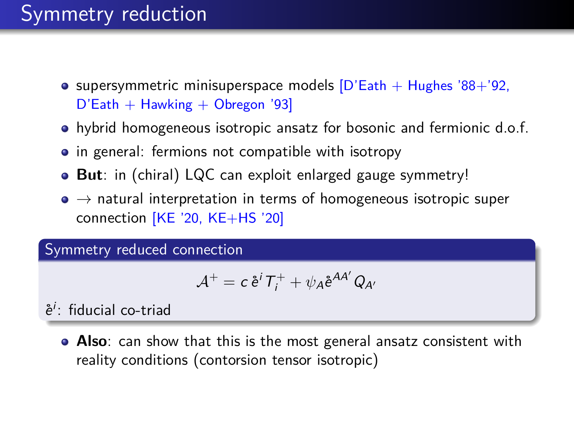# Symmetry reduction

- **•** supersymmetric minisuperspace models  $[D'Eath + Hughes '88+'92$ ,  $D'Exth + Hawking + Obregon '93$
- hybrid homogeneous isotropic ansatz for bosonic and fermionic d.o.f.
- in general: fermions not compatible with isotropy
- **But**: in (chiral) LQC can exploit enlarged gauge symmetry!
- $\bullet \rightarrow$  natural interpretation in terms of homogeneous isotropic super connection [KE '20, KE+HS '20]

Symmetry reduced connection

$$
\mathcal{A}^+ = c \, \mathring{e}^i \, T^+_i + \psi_A \mathring{e}^{AA'} \, Q_{A'}
$$

 $\mathring{e}^i$ : fiducial co-triad

**Also**: can show that this is the most general ansatz consistent with reality conditions (contorsion tensor isotropic)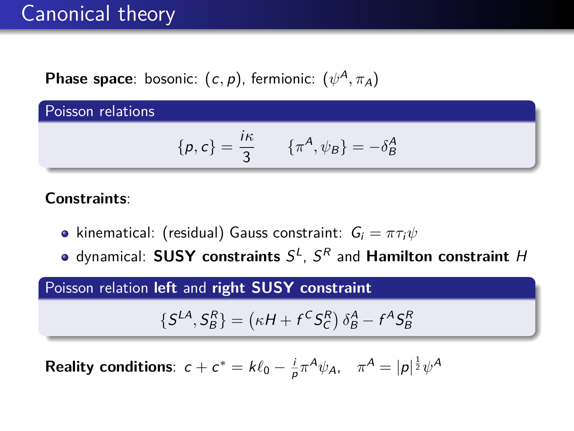### Canonical theory

**Phase space**: bosonic: (c*,* p), fermionic: (*ψ* <sup>A</sup>*, π*A)

Poisson relations

$$
\{p,c\} = \frac{i\kappa}{3} \qquad \{\pi^A, \psi_B\} = -\delta^A_B
$$

#### **Constraints**:

- **•** kinematical: (residual) Gauss constraint:  $G_i = \pi \tau_i \psi$
- dynamical: SUSY constraints  $S^L$ ,  $S^R$  and Hamilton constraint H

#### Poisson relation **left** and **right SUSY constraint**

$$
\{S^{LA}, S_B^R\} = \left(\kappa H + f^C S_C^R\right) \delta_B^A - f^A S_B^R
$$

**Reality conditions**:  $c + c^* = k\ell_0 - \frac{i}{\rho}\pi^A\psi_A$ ,  $\pi^A = |\rho|^{\frac{1}{2}}\psi^A$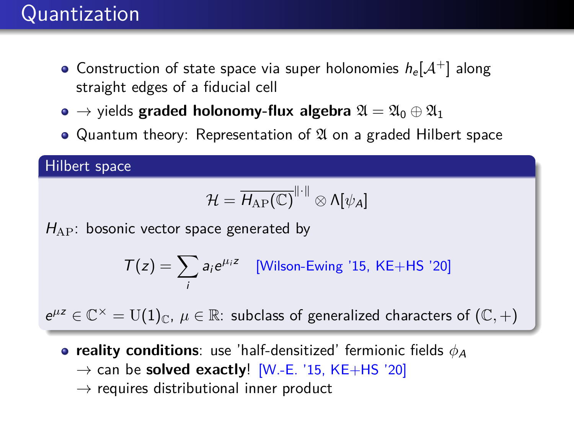### Quantization

- Construction of state space via super holonomies  $h_e[A^+]$  along straight edges of a fiducial cell
- $\bullet \rightarrow$  yields **graded holonomy-flux algebra**  $\mathfrak{A} = \mathfrak{A}_0 \oplus \mathfrak{A}_1$
- Quantum theory: Representation of  $\mathfrak A$  on a graded Hilbert space

#### Hilbert space

$$
\mathcal{H}=\overline{H_{\mathrm{AP}}(\mathbb{C})}^{\|\cdot\|}\otimes\Lambda[\psi_A]
$$

 $H_{AP}$ : bosonic vector space generated by

$$
T(z) = \sum_{i} a_i e^{\mu_i z} \quad \text{[Wilson-Ewing '15, KE+HS '20]}
$$

 $e^{\mu z} \in \mathbb{C}^\times = U(1)_{\mathbb{C}}$ ,  $\mu \in \mathbb{R}$ : subclass of generalized characters of  $(\mathbb{C}, +)$ 

- **reality conditions**: use 'half-densitized' fermionic fields  $\phi_A$ 
	- $\rightarrow$  can be **solved exactly**! [W.-E. '15, KE+HS '20]
	- $\rightarrow$  requires distributional inner product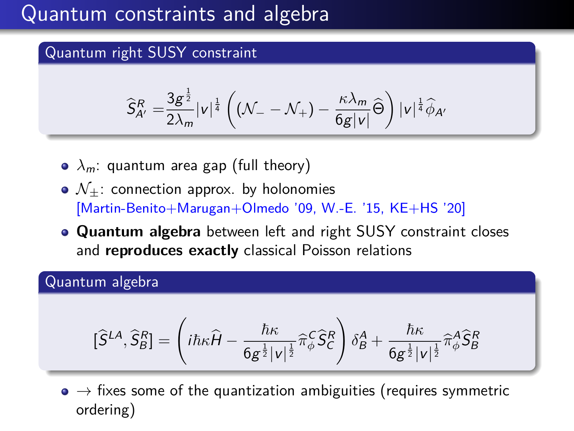### Quantum constraints and algebra

#### Quantum right SUSY constraint

$$
\widehat{S}_{A'}^R = \frac{3g^{\frac{1}{2}}}{2\lambda_m} |v|^{\frac{1}{4}} \left( \left( \mathcal{N}_- - \mathcal{N}_+ \right) - \frac{\kappa \lambda_m}{6g|v|} \widehat{\Theta} \right) |v|^{\frac{1}{4}} \widehat{\phi}_{A'}
$$

- $\lambda_m$ : quantum area gap (full theory)
- $\bullet$   $\mathcal{N}_+$ : connection approx. by holonomies [Martin-Benito+Marugan+Olmedo '09, W.-E. '15, KE+HS '20]
- **Quantum algebra** between left and right SUSY constraint closes and **reproduces exactly** classical Poisson relations

#### Quantum algebra

$$
[\widehat{S}^{LA},\widehat{S}^R_B] = \left(i\hbar\kappa\widehat{H} - \frac{\hbar\kappa}{6g^{\frac{1}{2}}|v|^{\frac{1}{2}}}\widehat{\pi}^C_\phi\widehat{S}^R_C\right)\delta^A_B + \frac{\hbar\kappa}{6g^{\frac{1}{2}}|v|^{\frac{1}{2}}}\widehat{\pi}^A_\phi\widehat{S}^R_B
$$

 $\bullet \rightarrow$  fixes some of the quantization ambiguities (requires symmetric ordering)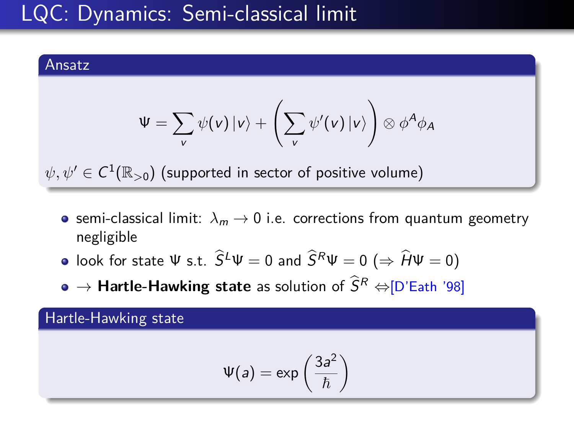# LQC: Dynamics: Semi-classical limit

#### Ansatz

$$
\Psi = \sum_{v} \psi(v) |v\rangle + \left(\sum_{v} \psi'(v) |v\rangle\right) \otimes \phi^A \phi_A
$$

 $\psi,\psi'\in C^1(\mathbb{R}_{>0})$  (supported in sector of positive volume)

- semi-classical limit:  $\lambda_m \rightarrow 0$  i.e. corrections from quantum geometry negligible
- look for state Ψ s.t.  $\widehat{S}^L \Psi = 0$  and  $\widehat{S}^R \Psi = 0$  ( $\Rightarrow \widehat{H} \Psi = 0$ )
- $\bullet \rightarrow$  **Hartle-Hawking state** as solution of  $\widehat{S}^R \Leftrightarrow$  [D'Eath '98]

#### Hartle-Hawking state

$$
\Psi(a)=\exp\left(\frac{3a^2}{\hbar}\right)
$$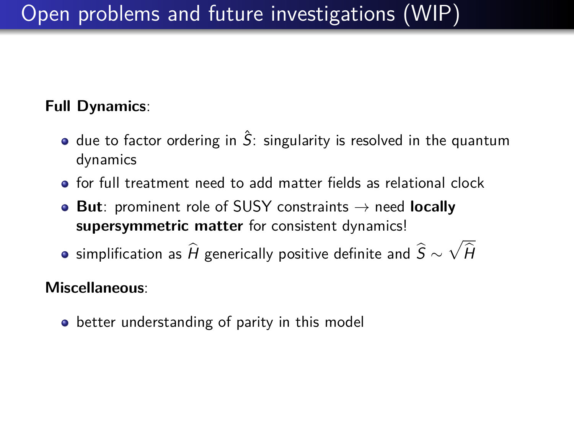# Open problems and future investigations (WIP)

### **Full Dynamics**:

- $\bullet$  due to factor ordering in  $\hat{S}$ : singularity is resolved in the quantum dynamics
- for full treatment need to add matter fields as relational clock
- **But**: prominent role of SUSY constraints → need **locally supersymmetric matter** for consistent dynamics!
- simplification as  $\widehat{H}$  generically positive definite and  $\widehat{S}\sim \sqrt{\widehat{H}}$

#### **Miscellaneous**:

**•** better understanding of parity in this model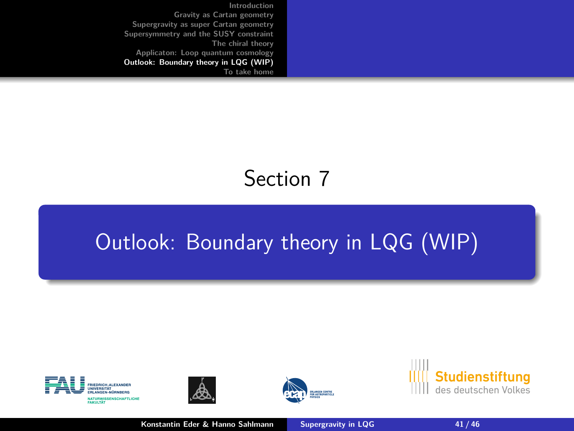<span id="page-40-0"></span>**[Introduction](#page-1-0) [Gravity as Cartan geometry](#page-9-0) [Supergravity as super Cartan geometry](#page-14-0) [Supersymmetry and the SUSY constraint](#page-19-0) [The chiral theory](#page-24-0) [Applicaton: Loop quantum cosmology](#page-33-0) [Outlook: Boundary theory in LQG \(WIP\)](#page-40-0) [To take home](#page-42-0)**

# Section 7

# [Outlook: Boundary theory in LQG \(WIP\)](#page-40-0)









**Konstantin Eder & Hanno Sahlmann [Supergravity in LQG](#page-0-0)** 41/46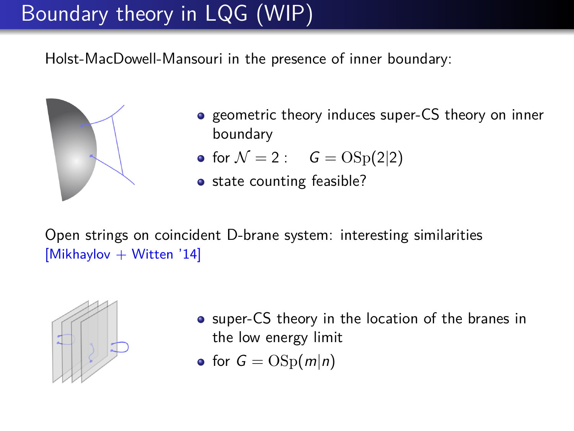# Boundary theory in LQG (WIP)

Holst-MacDowell-Mansouri in the presence of inner boundary:



- **•** geometric theory induces super-CS theory on inner boundary
- for  $\mathcal{N} = 2$  :  $G = \text{OSp}(2|2)$
- state counting feasible?

Open strings on coincident D-brane system: interesting similarities [Mikhaylov + Witten '14]



- **•** super-CS theory in the location of the branes in the low energy limit
- for  $G = \text{OSp}(m|n)$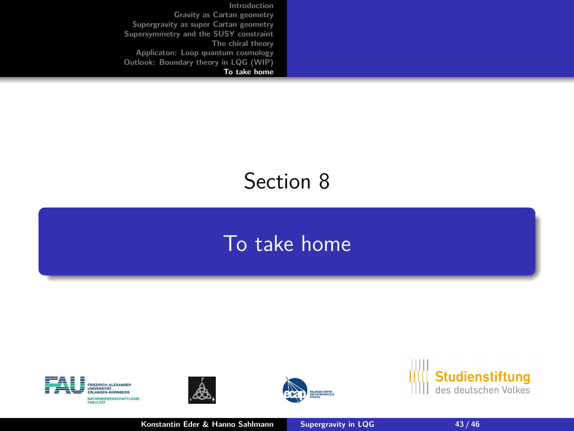<span id="page-42-0"></span>**[Introduction](#page-1-0) [Gravity as Cartan geometry](#page-9-0) [Supergravity as super Cartan geometry](#page-14-0) [Supersymmetry and the SUSY constraint](#page-19-0) [The chiral theory](#page-24-0) [Applicaton: Loop quantum cosmology](#page-33-0) [Outlook: Boundary theory in LQG \(WIP\)](#page-40-0) [To take home](#page-42-0)**

# Section 8

### [To take home](#page-42-0)









**Konstantin Eder & Hanno Sahlmann [Supergravity in LQG](#page-0-0)** 43 / 46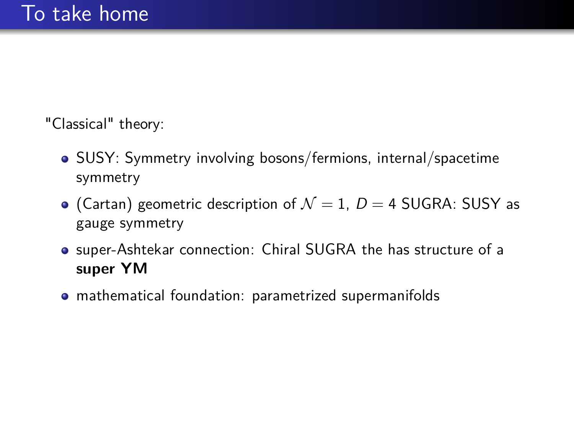"Classical" theory:

- SUSY: Symmetry involving bosons/fermions, internal/spacetime symmetry
- (Cartan) geometric description of  $\mathcal{N}=1$ ,  $D=4$  SUGRA: SUSY as gauge symmetry
- super-Ashtekar connection: Chiral SUGRA the has structure of a **super YM**
- mathematical foundation: parametrized supermanifolds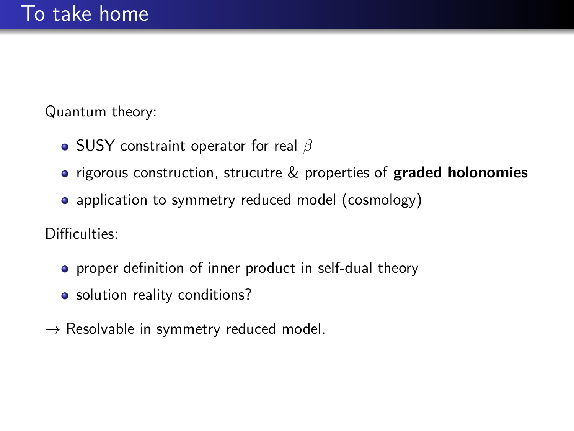Quantum theory:

- **•** SUSY constraint operator for real *β*
- rigorous construction, strucutre & properties of **graded holonomies**
- application to symmetry reduced model (cosmology)

Difficulties:

- **•** proper definition of inner product in self-dual theory
- solution reality conditions?
- $\rightarrow$  Resolvable in symmetry reduced model.